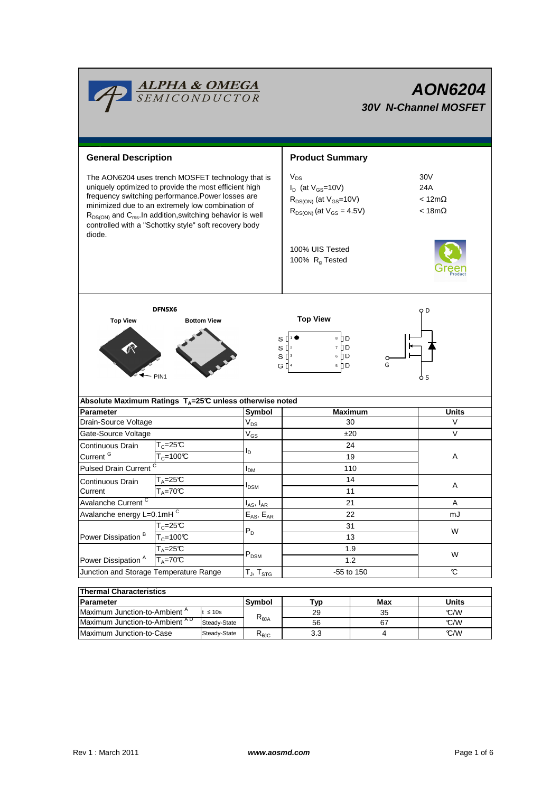

# **AON6204 30V N-Channel MOSFET**

**General Description Arrow Controllering Summary** Product Summary  $V_{DS}$ 30V The AON6204 uses trench MOSFET technology that is uniquely optimized to provide the most efficient high  $I_D$  (at  $V_{GS}$ =10V) 24A frequency switching performance.Power losses are  $R_{DS(ON)}$  (at  $V_{GS}$ =10V)  $\leq 12m\Omega$ minimized due to an extremely low combination of  $R_{DS(ON)}$  (at  $V_{GS} = 4.5V$ ) < 18m $\Omega$  $R_{DS(ON)}$  and  $C_{rss}$ . In addition, switching behavior is well controlled with a "Schottky style" soft recovery body diode. 100% UIS Tested 100%  $R<sub>g</sub>$  Tested DFN5X6 o D **Top View Top View Bottom View**  $\overline{\mathbf{s}}$ ח∄∍ 1 s [ 7 D 2  $S^{13}$ 6 ∏D G [  $5$  D G 4 PIN1 S **Absolute Maximum Ratings TA=25°C unless otherwise noted Symbol** Parameter |Symbol | Maximum | Units Drain-Source Voltage  $|V_{DS}|$  30 V  $V_{DS}$ Gate-Source Voltage  $V_{GS}$   $V_{GS}$   $t=20$   $V$ V<sub>GS</sub>  $T_c = 25C$ 24 Continuous Drain  $I_D$ Current<sup>G</sup>  $T_c=100^{\circ}C$ 19 A Pulsed Drain Current  $\frac{c}{c}$  and  $\frac{c}{c}$  and  $\frac{c}{c}$  and  $\frac{1}{c}$  and  $\frac{1}{c}$  and  $\frac{1}{c}$  and  $\frac{1}{c}$  and  $\frac{1}{c}$  and  $\frac{1}{c}$  and  $\frac{1}{c}$  and  $\frac{1}{c}$  and  $\frac{1}{c}$  and  $\frac{1}{c}$  and  $\frac{1}{c}$  and  $\frac{$ IDM 14 Continuous Drain  $T_A=25^\circ$   $I_{DSM}$   $I_{DSM}$   $A$ **Current**  $T_A = 70^\circ C$ 11 Avalanche Current<sup>C</sup>  $I_{AS}$ ,  $I_{AR}$ 21 A Avalanche energy L=0.1mH  $\overline{c}$  and  $E_{AS}$ ,  $E_{AR}$  and  $E_{AS}$  and  $E_{AS}$  and  $E_{AS}$  and  $E_{AR}$  and  $E_{AS}$  and  $E_{AR}$  and  $E_{AS}$  and  $E_{AR}$  and  $E_{AS}$  and  $E_{AR}$  and  $E_{AR}$  and  $E_{AR}$  and  $E_{AR}$  and  $E_{AR}$  and  $E_{AR}$  and 22  $E_{AS}$ ,  $E_{AR}$  $T_c = 25^{\circ}C$ 31  $T_{C} = 100 \text{ C}$   $P_{D}$   $T_{10} = 100 \text{ C}$   $13$  $P_D$   $\qquad \qquad \frac{3!}{42}$  W Power Dissipation<sup>B</sup>  $T_A=25C$ 1.9 PDSM W Power Dissipation<sup>A</sup>  $T_A = 70^\circ C$ 1.2 Junction and Storage Temperature Range  $[T_{\text{J}}$ ,  $T_{\text{STG}}$   $\qquad \qquad$  -55 to 150  $\qquad \qquad$  $\mathsf{T}_{\mathsf{J}},\, \mathsf{T}_{\mathsf{STG}}$ **Thermal Characteristics**

| $\overline{\phantom{a}}$ ligi ulialautelistius |              |                      |     |     |       |  |  |  |  |  |
|------------------------------------------------|--------------|----------------------|-----|-----|-------|--|--|--|--|--|
| Parameter                                      |              | <b>Svmbol</b><br>⊤ур |     | Max | Units |  |  |  |  |  |
| Maximum Junction-to-Ambient <sup>A</sup>       | $\leq 10s$   | D                    | 29  | 35  | C/M   |  |  |  |  |  |
| Maximum Junction-to-Ambient <sup>AD</sup>      | Steady-State | $R_{\theta}$         | 56  |     | C/M   |  |  |  |  |  |
| Maximum Junction-to-Case                       | Steady-State | ι enc                | 3.3 |     | C/M   |  |  |  |  |  |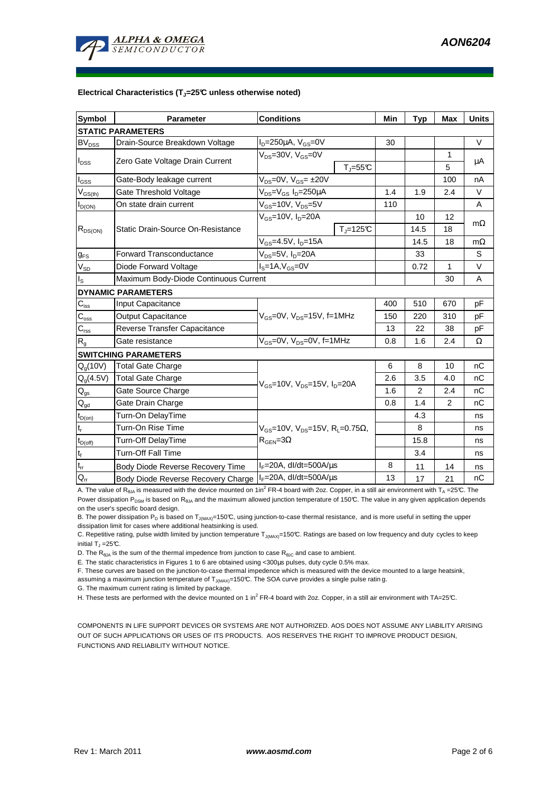

#### **Electrical Characteristics (TJ=25°C unless otherwise noted)**

| Symbol                   | <b>Parameter</b>                      | <b>Conditions</b>                                                                           |                              | Min | <b>Typ</b> | Max          | <b>Units</b> |  |  |  |  |
|--------------------------|---------------------------------------|---------------------------------------------------------------------------------------------|------------------------------|-----|------------|--------------|--------------|--|--|--|--|
| <b>STATIC PARAMETERS</b> |                                       |                                                                                             |                              |     |            |              |              |  |  |  |  |
| $BV_{DSS}$               | Drain-Source Breakdown Voltage        | $I_D = 250 \mu A$ , $V_{GS} = 0V$                                                           |                              | 30  |            |              | $\vee$       |  |  |  |  |
| $I_{DSS}$                |                                       | $V_{DS}$ =30V, $V_{GS}$ =0V                                                                 |                              |     |            | 1            |              |  |  |  |  |
|                          | Zero Gate Voltage Drain Current       |                                                                                             | $T_{\text{J}} = 55^{\circ}C$ |     |            | 5            | μA           |  |  |  |  |
| $I_{\rm GSS}$            | Gate-Body leakage current             | $V_{DS} = 0V$ , $V_{GS} = \pm 20V$                                                          |                              |     |            | 100          | nA           |  |  |  |  |
| $V_{GS(th)}$             | Gate Threshold Voltage                | V <sub>DS</sub> =V <sub>GS</sub> I <sub>D</sub> =250µA                                      |                              | 1.4 | 1.9        | 2.4          | $\vee$       |  |  |  |  |
| $I_{D(ON)}$              | On state drain current                | $V_{GS}$ =10V, $V_{DS}$ =5V                                                                 |                              | 110 |            |              | A            |  |  |  |  |
| $R_{DS(ON)}$             | Static Drain-Source On-Resistance     | $V_{GS}$ =10V, I <sub>D</sub> =20A                                                          |                              |     | 10         | 12           |              |  |  |  |  |
|                          |                                       |                                                                                             | $TJ=125C$                    |     | 14.5       | 18           | $m\Omega$    |  |  |  |  |
|                          |                                       | $V_{GS}$ =4.5V, $I_D$ =15A                                                                  |                              |     | 14.5       | 18           | $m\Omega$    |  |  |  |  |
| $g_{FS}$                 | <b>Forward Transconductance</b>       | $V_{DS}$ =5V, $I_D$ =20A                                                                    |                              |     | 33         |              | S            |  |  |  |  |
| $V_{SD}$                 | Diode Forward Voltage                 | $IS=1A, VGS=0V$                                                                             |                              |     | 0.72       | $\mathbf{1}$ | $\vee$       |  |  |  |  |
| ı <sub>s</sub>           | Maximum Body-Diode Continuous Current |                                                                                             |                              |     |            | 30           | A            |  |  |  |  |
|                          | <b>DYNAMIC PARAMETERS</b>             |                                                                                             |                              |     |            |              |              |  |  |  |  |
| $C_{iss}$                | Input Capacitance                     | $V_{GS}$ =0V, $V_{DS}$ =15V, f=1MHz                                                         |                              | 400 | 510        | 670          | pF           |  |  |  |  |
| $C_{\rm oss}$            | <b>Output Capacitance</b>             |                                                                                             |                              | 150 | 220        | 310          | рF           |  |  |  |  |
| $C_{\rm rss}$            | Reverse Transfer Capacitance          |                                                                                             |                              | 13  | 22         | 38           | pF           |  |  |  |  |
| R <sub>g</sub>           | Gate resistance                       | $V_{GS}$ =0V, $V_{DS}$ =0V, f=1MHz                                                          |                              | 0.8 | 1.6        | 2.4          | Ω            |  |  |  |  |
|                          | <b>SWITCHING PARAMETERS</b>           |                                                                                             |                              |     |            |              |              |  |  |  |  |
| $Q_q(10V)$               | <b>Total Gate Charge</b>              | $V_{GS}$ =10V, $V_{DS}$ =15V, $I_{D}$ =20A                                                  |                              | 6   | 8          | 10           | nC           |  |  |  |  |
| $Q_g(4.5V)$              | <b>Total Gate Charge</b>              |                                                                                             |                              | 2.6 | 3.5        | 4.0          | nC           |  |  |  |  |
| $Q_{gs}$                 | Gate Source Charge                    |                                                                                             |                              | 1.6 | 2          | 2.4          | nC           |  |  |  |  |
| $\mathsf{Q}_{\text{gd}}$ | Gate Drain Charge                     |                                                                                             |                              | 0.8 | 1.4        | 2            | nC           |  |  |  |  |
| $t_{D(on)}$              | Turn-On DelayTime                     |                                                                                             |                              |     | 4.3        |              | ns           |  |  |  |  |
| $t_r$                    | Turn-On Rise Time                     | $V_{GS}$ =10V, $V_{DS}$ =15V, R <sub>L</sub> =0.75 $\Omega$ ,<br>$R_{\text{GEN}} = 3\Omega$ |                              |     | 8          |              | ns           |  |  |  |  |
| $t_{D{\rm (off)}}$       | <b>Turn-Off DelayTime</b>             |                                                                                             |                              |     | 15.8       |              | ns           |  |  |  |  |
| $\mathbf{t}_\text{f}$    | <b>Turn-Off Fall Time</b>             |                                                                                             |                              |     | 3.4        |              | ns           |  |  |  |  |
| $t_{rr}$                 | Body Diode Reverse Recovery Time      | $I_F = 20A$ , dl/dt=500A/ $\mu$ s                                                           |                              | 8   | 11         | 14           | ns           |  |  |  |  |
| $Q_{rr}$                 | Body Diode Reverse Recovery Charge    | $I_F = 20A$ , dl/dt=500A/ $\mu$ s                                                           |                              | 13  | 17         | 21           | nC           |  |  |  |  |

A. The value of R<sub>θJA</sub> is measured with the device mounted on 1in<sup>2</sup> FR-4 board with 2oz. Copper, in a still air environment with T<sub>A</sub>=25℃. The

Power dissipation P<sub>DSM</sub> is based on R<sub>θJA</sub> and the maximum allowed junction temperature of 150°C. The value in any given application depends on the user's specific board design.

B. The power dissipation  $P_D$  is based on  $T_{J(MAX)}=150^{\circ}C$ , using junction-to-case thermal resistance, and is more useful in setting the upper dissipation limit for cases where additional heatsinking is used.

C. Repetitive rating, pulse width limited by junction temperature  $T_{J(MAX)}$ =150°C. Ratings are based on low frequency and duty cycles to keep initial T $_{\textrm{\scriptsize{J}}}$  =25°C.

D. The  $R_{\theta JA}$  is the sum of the thermal impedence from junction to case  $R_{\theta JC}$  and case to ambient.

E. The static characteristics in Figures 1 to 6 are obtained using <300µs pulses, duty cycle 0.5% max.

F. These curves are based on the junction-to-case thermal impedence which is measured with the device mounted to a large heatsink,

assuming a maximum junction temperature of  $T_{J(MAX)}$ =150°C. The SOA curve provides a single pulse ratin g.

G. The maximum current rating is limited by package.

H. These tests are performed with the device mounted on 1 in<sup>2</sup> FR-4 board with 2oz. Copper, in a still air environment with TA=25°C.

COMPONENTS IN LIFE SUPPORT DEVICES OR SYSTEMS ARE NOT AUTHORIZED. AOS DOES NOT ASSUME ANY LIABILITY ARISING OUT OF SUCH APPLICATIONS OR USES OF ITS PRODUCTS. AOS RESERVES THE RIGHT TO IMPROVE PRODUCT DESIGN, FUNCTIONS AND RELIABILITY WITHOUT NOTICE.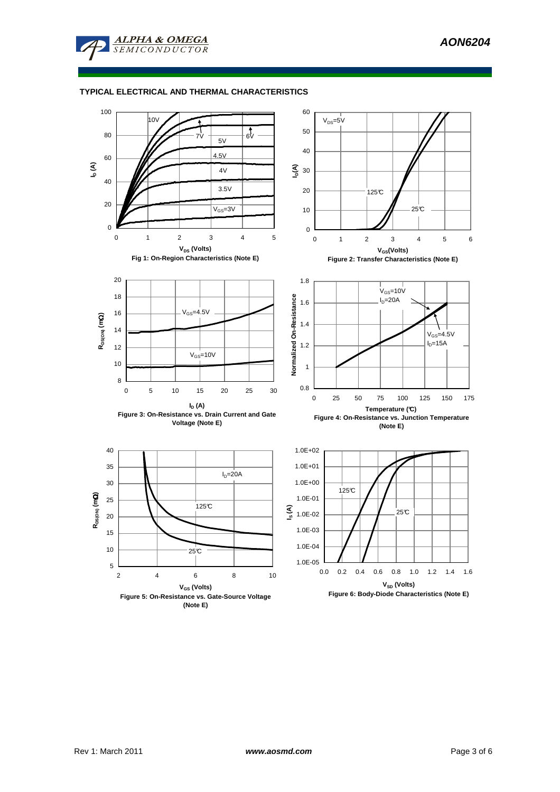

## **TYPICAL ELECTRICAL AND THERMAL CHARACTERISTICS**

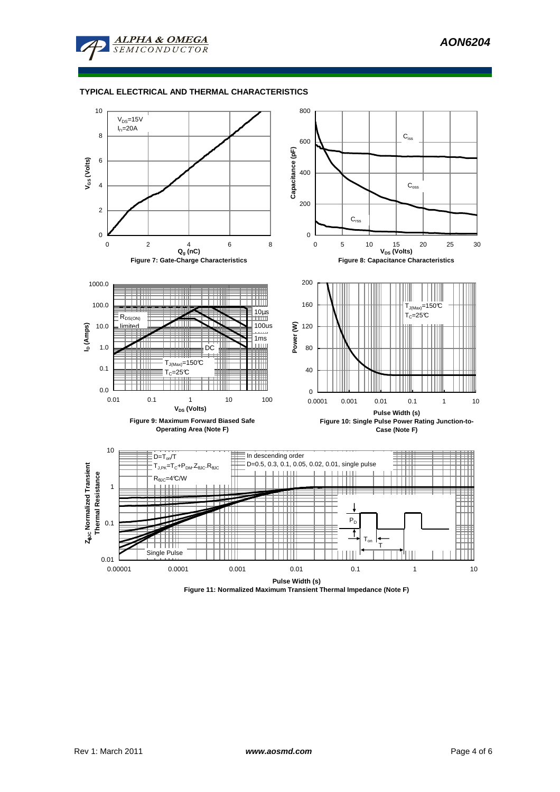

#### **TYPICAL ELECTRICAL AND THERMAL CHARACTERISTICS**



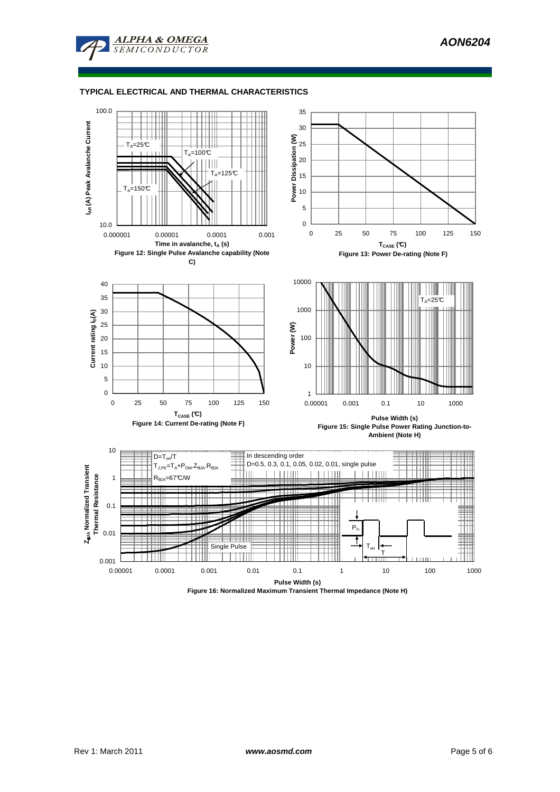

#### **TYPICAL ELECTRICAL AND THERMAL CHARACTERISTICS**